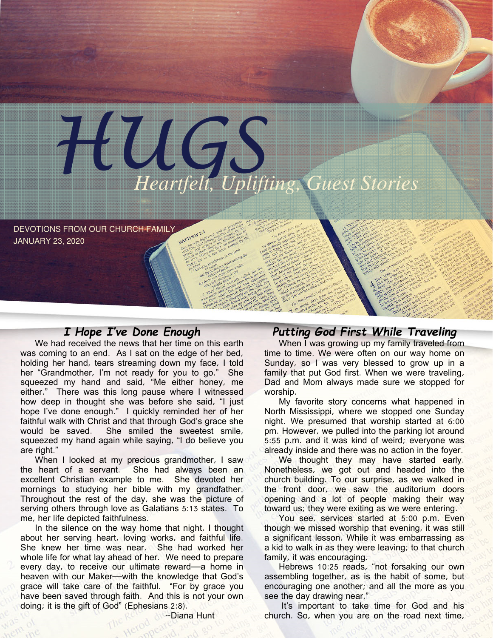

DEVOTIONS FROM OUR CHURCH FAMILY JANUARY 23, 2020

# I Hope I've Done Enough

We had received the news that her time on this earth was coming to an end. As I sat on the edge of her bed, holding her hand, tears streaming down my face, I told her "Grandmother, I'm not ready for you to go." She squeezed my hand and said, "Me either honey, me either." There was this long pause where I witnessed how deep in thought she was before she said, "I just hope I've done enough." I quickly reminded her of her faithful walk with Christ and that through God's grace she would be saved. She smiled the sweetest smile. She smiled the sweetest smile, squeezed my hand again while saying, "I do believe you are right."

When I looked at my precious grandmother, I saw the heart of a servant. She had always been an excellent Christian example to me. She devoted her mornings to studying her bible with my grandfather. Throughout the rest of the day, she was the picture of serving others through love as Galatians 5:13 states. To me, her life depicted faithfulness.

In the silence on the way home that night, I thought about her serving heart, loving works, and faithful life. She knew her time was near. She had worked her whole life for what lay ahead of her. We need to prepare every day, to receive our ultimate reward—a home in heaven with our Maker—with the knowledge that God's grace will take care of the faithful. "For by grace you have been saved through faith. And this is not your own doing; it is the gift of God" (Ephesians 2:8).

--Diana Hunt

## Putting God First While Traveling

When I was growing up my family traveled from time to time. We were often on our way home on Sunday, so I was very blessed to grow up in a family that put God first. When we were traveling, Dad and Mom always made sure we stopped for worship.

My favorite story concerns what happened in North Mississippi, where we stopped one Sunday night. We presumed that worship started at 6:00 pm. However, we pulled into the parking lot around 5:55 p.m. and it was kind of weird; everyone was already inside and there was no action in the foyer.

We thought they may have started early. Nonetheless, we got out and headed into the church building. To our surprise, as we walked in the front door, we saw the auditorium doors opening and a lot of people making their way toward us; they were exiting as we were entering.

You see, services started at 5:00 p.m. Even though we missed worship that evening, it was still a significant lesson. While it was embarrassing as a kid to walk in as they were leaving; to that church family, it was encouraging.

Hebrews 10:25 reads, "not forsaking our own assembling together, as is the habit of some, but encouraging one another; and all the more as you see the day drawing near."

It's important to take time for God and his church. So, when you are on the road next time,